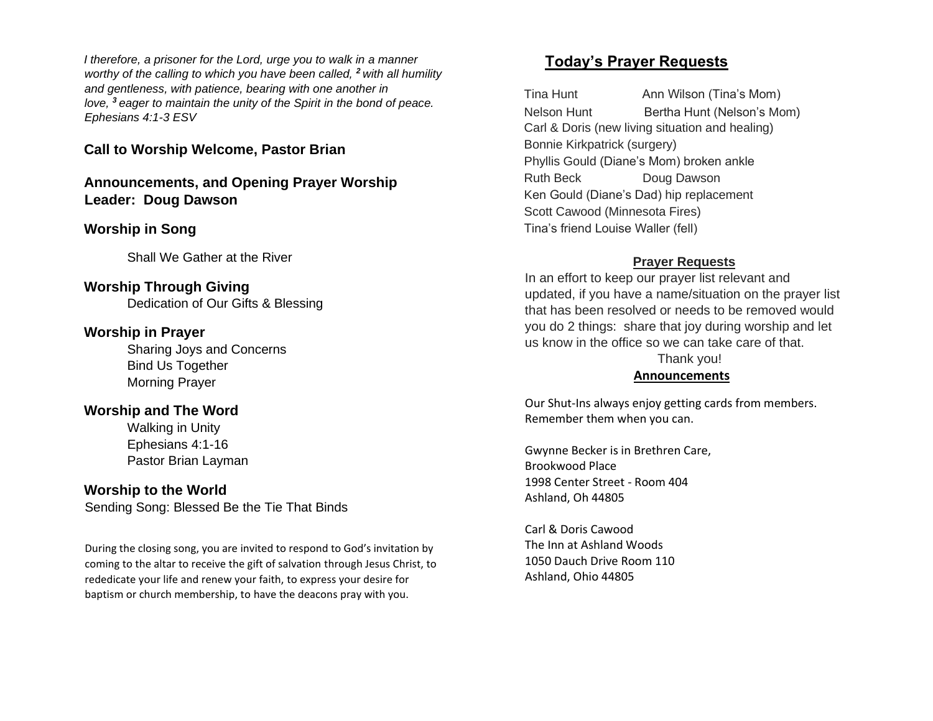*I therefore, a prisoner for the Lord, urge you to walk in a manner worthy of the calling to which you have been called, <sup>2</sup> with all humility and gentleness, with patience, bearing with one another in love, <sup>3</sup> eager to maintain the unity of the Spirit in the bond of peace. Ephesians 4:1-3 ESV*

**Call to Worship Welcome, Pastor Brian**

**Announcements, and Opening Prayer Worship Leader: Doug Dawson**

## **Worship in Song**

Shall We Gather at the River

**Worship Through Giving** Dedication of Our Gifts & Blessing

## **Worship in Prayer**

Sharing Joys and Concerns Bind Us Together Morning Prayer

# **Worship and The Word**

Walking in Unity Ephesians 4:1-16 Pastor Brian Layman

# **Worship to the World**

Sending Song: Blessed Be the Tie That Binds

During the closing song, you are invited to respond to God's invitation by coming to the altar to receive the gift of salvation through Jesus Christ, to rededicate your life and renew your faith, to express your desire for baptism or church membership, to have the deacons pray with you.

# **Today's Prayer Requests**

Tina Hunt **Ann Wilson (Tina's Mom)** Nelson Hunt Bertha Hunt (Nelson's Mom) Carl & Doris (new living situation and healing) Bonnie Kirkpatrick (surgery) Phyllis Gould (Diane's Mom) broken ankle Ruth Beck Doug Dawson Ken Gould (Diane's Dad) hip replacement Scott Cawood (Minnesota Fires) Tina's friend Louise Waller (fell)

#### **Prayer Requests**

In an effort to keep our prayer list relevant and updated, if you have a name/situation on the prayer list that has been resolved or needs to be removed would you do 2 things: share that joy during worship and let us know in the office so we can take care of that. Thank you!

#### **Announcements**

Our Shut-Ins always enjoy getting cards from members. Remember them when you can.

Gwynne Becker is in Brethren Care, Brookwood Place 1998 Center Street - Room 404 Ashland, Oh 44805

Carl & Doris Cawood The Inn at Ashland Woods 1050 Dauch Drive Room 110 Ashland, Ohio 44805